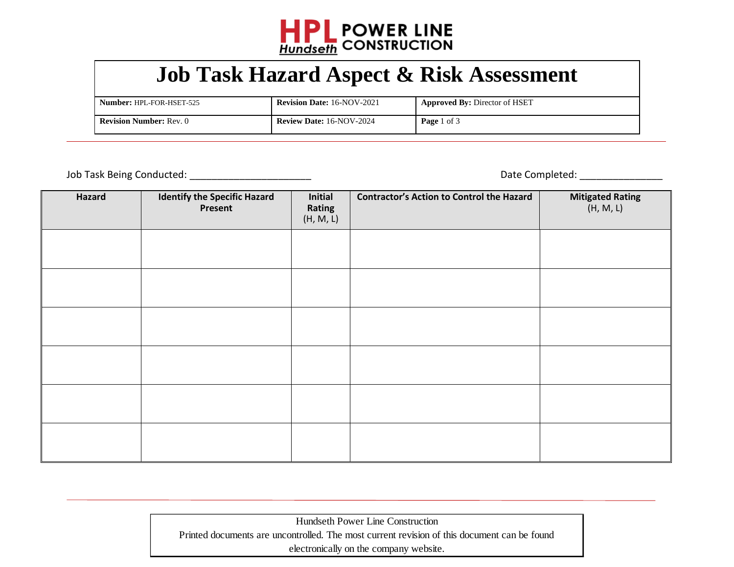

## **Job Task Hazard Aspect & Risk Assessment**

| Number: HPL-FOR-HSET-525       | <b>Revision Date: 16-NOV-2021</b> | <b>Approved By: Director of HSET</b> |
|--------------------------------|-----------------------------------|--------------------------------------|
| <b>Revision Number: Rev. 0</b> | <b>Review Date: 16-NOV-2024</b>   | <b>Page</b> 1 of 3                   |

 $\overline{a}$ 

Job Task Being Conducted: \_\_\_\_\_\_\_\_\_\_\_\_\_\_\_\_\_\_\_\_\_\_ Date Completed: \_\_\_\_\_\_\_\_\_\_\_\_\_\_\_

| Hazard | <b>Identify the Specific Hazard</b><br>Present | Initial<br>Rating<br>(H, M, L) | <b>Contractor's Action to Control the Hazard</b> | <b>Mitigated Rating</b><br>(H, M, L) |
|--------|------------------------------------------------|--------------------------------|--------------------------------------------------|--------------------------------------|
|        |                                                |                                |                                                  |                                      |
|        |                                                |                                |                                                  |                                      |
|        |                                                |                                |                                                  |                                      |
|        |                                                |                                |                                                  |                                      |
|        |                                                |                                |                                                  |                                      |
|        |                                                |                                |                                                  |                                      |

Hundseth Power Line Construction Printed documents are uncontrolled. The most current revision of this document can be found electronically on the company website.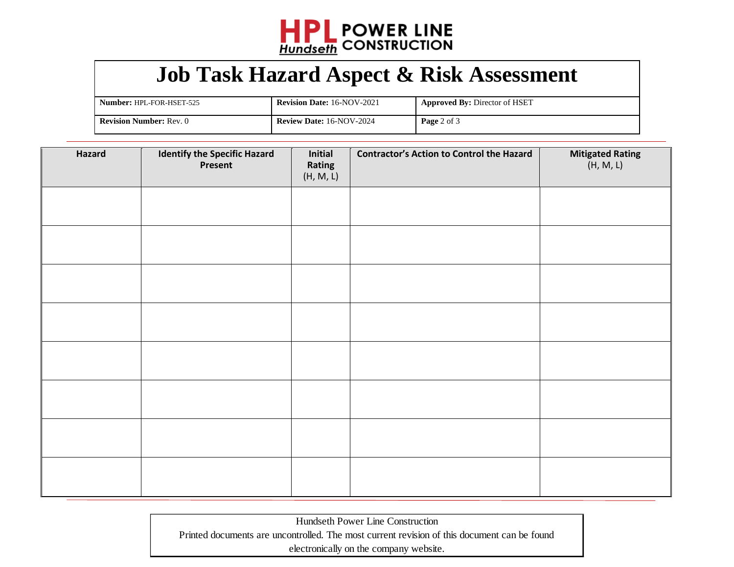

## **Job Task Hazard Aspect & Risk Assessment**

| <b>Number: HPL-FOR-HSET-525</b> | <b>Revision Date: 16-NOV-2021</b> | <b>Approved By: Director of HSET</b> |
|---------------------------------|-----------------------------------|--------------------------------------|
| <b>Revision Number: Rev. 0</b>  | <b>Review Date: 16-NOV-2024</b>   | Page 2 of 3                          |

| Hazard | <b>Identify the Specific Hazard</b><br>Present | Initial<br>Rating<br>(H, M, L) | <b>Contractor's Action to Control the Hazard</b> | Mitigated Rating<br>(H, M, L) |
|--------|------------------------------------------------|--------------------------------|--------------------------------------------------|-------------------------------|
|        |                                                |                                |                                                  |                               |
|        |                                                |                                |                                                  |                               |
|        |                                                |                                |                                                  |                               |
|        |                                                |                                |                                                  |                               |
|        |                                                |                                |                                                  |                               |
|        |                                                |                                |                                                  |                               |
|        |                                                |                                |                                                  |                               |
|        |                                                |                                |                                                  |                               |

Hundseth Power Line Construction Printed documents are uncontrolled. The most current revision of this document can be found electronically on the company website.